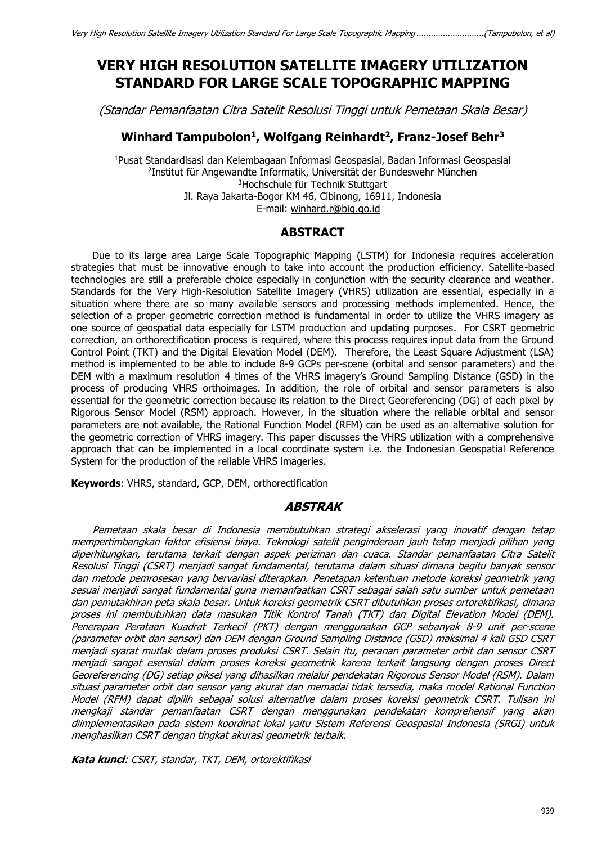# **VERY HIGH RESOLUTION SATELLITE IMAGERY UTILIZATION STANDARD FOR LARGE SCALE TOPOGRAPHIC MAPPING**

(Standar Pemanfaatan Citra Satelit Resolusi Tinggi untuk Pemetaan Skala Besar)

### **Winhard Tampubolon<sup>1</sup> , Wolfgang Reinhardt<sup>2</sup> , Franz-Josef Behr<sup>3</sup>**

<sup>1</sup>Pusat Standardisasi dan Kelembagaan Informasi Geospasial, Badan Informasi Geospasial 2 Institut für Angewandte Informatik, Universität der Bundeswehr München <sup>3</sup>Hochschule für Technik Stuttgart Jl. Raya Jakarta-Bogor KM 46, Cibinong, 16911, Indonesia E-mail: [winhard.r@big.go.id](mailto:winhard.r@big.go.id)

### **ABSTRACT**

Due to its large area Large Scale Topographic Mapping (LSTM) for Indonesia requires acceleration strategies that must be innovative enough to take into account the production efficiency. Satellite-based technologies are still a preferable choice especially in conjunction with the security clearance and weather. Standards for the Very High-Resolution Satellite Imagery (VHRS) utilization are essential, especially in a situation where there are so many available sensors and processing methods implemented. Hence, the selection of a proper geometric correction method is fundamental in order to utilize the VHRS imagery as one source of geospatial data especially for LSTM production and updating purposes. For CSRT geometric correction, an orthorectification process is required, where this process requires input data from the Ground Control Point (TKT) and the Digital Elevation Model (DEM). Therefore, the Least Square Adjustment (LSA) method is implemented to be able to include 8-9 GCPs per-scene (orbital and sensor parameters) and the DEM with a maximum resolution 4 times of the VHRS imagery's Ground Sampling Distance (GSD) in the process of producing VHRS orthoimages. In addition, the role of orbital and sensor parameters is also essential for the geometric correction because its relation to the Direct Georeferencing (DG) of each pixel by Rigorous Sensor Model (RSM) approach. However, in the situation where the reliable orbital and sensor parameters are not available, the Rational Function Model (RFM) can be used as an alternative solution for the geometric correction of VHRS imagery. This paper discusses the VHRS utilization with a comprehensive approach that can be implemented in a local coordinate system i.e. the Indonesian Geospatial Reference System for the production of the reliable VHRS imageries.

**Keywords**: VHRS, standard, GCP, DEM, orthorectification

### **ABSTRAK**

Pemetaan skala besar di Indonesia membutuhkan strategi akselerasi yang inovatif dengan tetap mempertimbangkan faktor efisiensi biaya. Teknologi satelit penginderaan jauh tetap menjadi pilihan yang diperhitungkan, terutama terkait dengan aspek perizinan dan cuaca. Standar pemanfaatan Citra Satelit Resolusi Tinggi (CSRT) menjadi sangat fundamental, terutama dalam situasi dimana begitu banyak sensor dan metode pemrosesan yang bervariasi diterapkan. Penetapan ketentuan metode koreksi geometrik yang sesuai menjadi sangat fundamental guna memanfaatkan CSRT sebagai salah satu sumber untuk pemetaan dan pemutakhiran peta skala besar. Untuk koreksi geometrik CSRT dibutuhkan proses ortorektifikasi, dimana proses ini membutuhkan data masukan Titik Kontrol Tanah (TKT) dan Digital Elevation Model (DEM). Penerapan Perataan Kuadrat Terkecil (PKT) dengan menggunakan GCP sebanyak 8-9 unit per-scene (parameter orbit dan sensor) dan DEM dengan Ground Sampling Distance (GSD) maksimal 4 kali GSD CSRT menjadi syarat mutlak dalam proses produksi CSRT. Selain itu, peranan parameter orbit dan sensor CSRT menjadi sangat esensial dalam proses koreksi geometrik karena terkait langsung dengan proses Direct Georeferencing (DG) setiap piksel yang dihasilkan melalui pendekatan Rigorous Sensor Model (RSM). Dalam situasi parameter orbit dan sensor yang akurat dan memadai tidak tersedia, maka model Rational Function Model (RFM) dapat dipilih sebagai solusi alternative dalam proses koreksi geometrik CSRT. Tulisan ini mengkaji standar pemanfaatan CSRT dengan menggunakan pendekatan komprehensif yang akan diimplementasikan pada sistem koordinat lokal yaitu Sistem Referensi Geospasial Indonesia (SRGI) untuk menghasilkan CSRT dengan tingkat akurasi geometrik terbaik.

**Kata kunci**: CSRT, standar, TKT, DEM, ortorektifikasi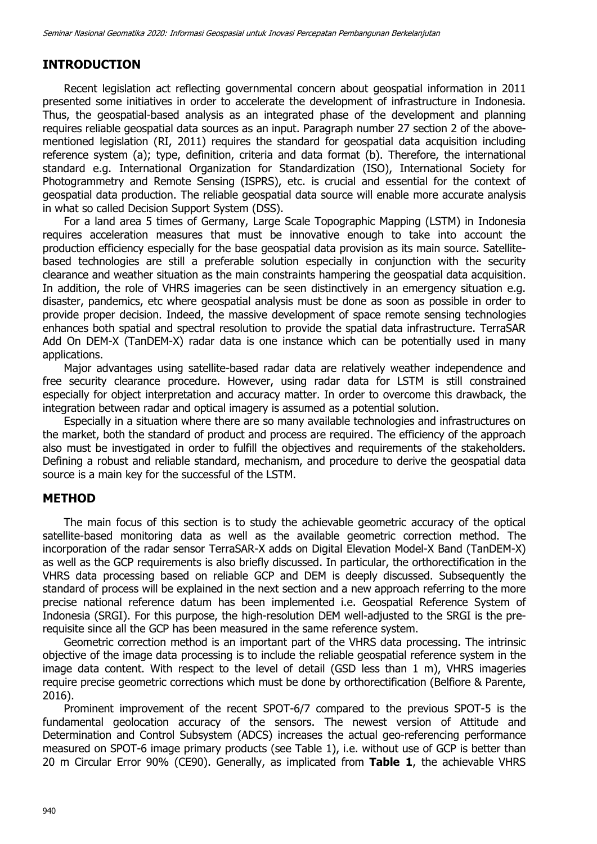# **INTRODUCTION**

Recent legislation act reflecting governmental concern about geospatial information in 2011 presented some initiatives in order to accelerate the development of infrastructure in Indonesia. Thus, the geospatial-based analysis as an integrated phase of the development and planning requires reliable geospatial data sources as an input. Paragraph number 27 section 2 of the abovementioned legislation (RI, 2011) requires the standard for geospatial data acquisition including reference system (a); type, definition, criteria and data format (b). Therefore, the international standard e.g. International Organization for Standardization (ISO), International Society for Photogrammetry and Remote Sensing (ISPRS), etc. is crucial and essential for the context of geospatial data production. The reliable geospatial data source will enable more accurate analysis in what so called Decision Support System (DSS).

For a land area 5 times of Germany, Large Scale Topographic Mapping (LSTM) in Indonesia requires acceleration measures that must be innovative enough to take into account the production efficiency especially for the base geospatial data provision as its main source. Satellitebased technologies are still a preferable solution especially in conjunction with the security clearance and weather situation as the main constraints hampering the geospatial data acquisition. In addition, the role of VHRS imageries can be seen distinctively in an emergency situation e.g. disaster, pandemics, etc where geospatial analysis must be done as soon as possible in order to provide proper decision. Indeed, the massive development of space remote sensing technologies enhances both spatial and spectral resolution to provide the spatial data infrastructure. TerraSAR Add On DEM-X (TanDEM-X) radar data is one instance which can be potentially used in many applications.

Major advantages using satellite-based radar data are relatively weather independence and free security clearance procedure. However, using radar data for LSTM is still constrained especially for object interpretation and accuracy matter. In order to overcome this drawback, the integration between radar and optical imagery is assumed as a potential solution.

Especially in a situation where there are so many available technologies and infrastructures on the market, both the standard of product and process are required. The efficiency of the approach also must be investigated in order to fulfill the objectives and requirements of the stakeholders. Defining a robust and reliable standard, mechanism, and procedure to derive the geospatial data source is a main key for the successful of the LSTM.

# **METHOD**

The main focus of this section is to study the achievable geometric accuracy of the optical satellite-based monitoring data as well as the available geometric correction method. The incorporation of the radar sensor TerraSAR-X adds on Digital Elevation Model-X Band (TanDEM-X) as well as the GCP requirements is also briefly discussed. In particular, the orthorectification in the VHRS data processing based on reliable GCP and DEM is deeply discussed. Subsequently the standard of process will be explained in the next section and a new approach referring to the more precise national reference datum has been implemented i.e. Geospatial Reference System of Indonesia (SRGI). For this purpose, the high-resolution DEM well-adjusted to the SRGI is the prerequisite since all the GCP has been measured in the same reference system.

Geometric correction method is an important part of the VHRS data processing. The intrinsic objective of the image data processing is to include the reliable geospatial reference system in the image data content. With respect to the level of detail (GSD less than 1 m), VHRS imageries require precise geometric corrections which must be done by orthorectification (Belfiore & Parente, 2016).

Prominent improvement of the recent SPOT-6/7 compared to the previous SPOT-5 is the fundamental geolocation accuracy of the sensors. The newest version of Attitude and Determination and Control Subsystem (ADCS) increases the actual geo-referencing performance measured on SPOT-6 image primary products (see Table 1), i.e. without use of GCP is better than 20 m Circular Error 90% (CE90). Generally, as implicated from **Table 1**, the achievable VHRS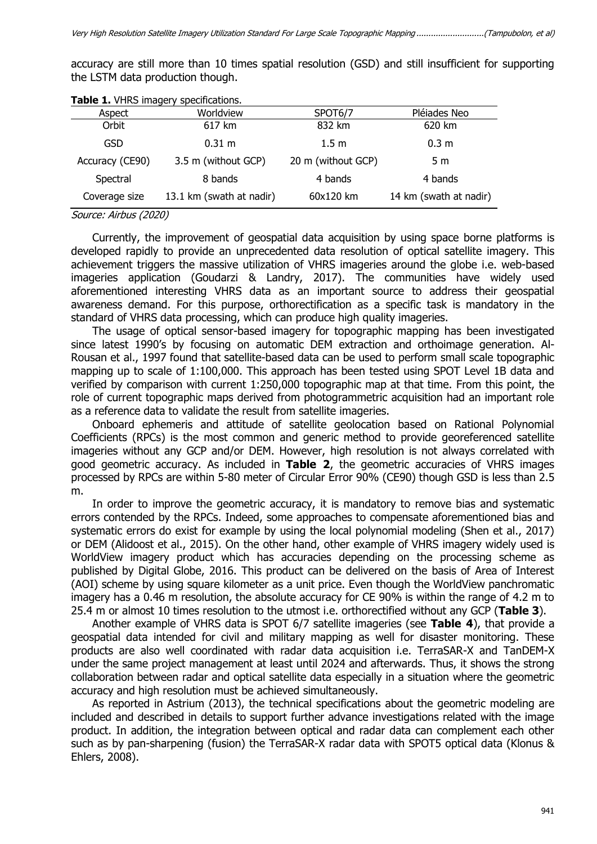Very High Resolution Satellite Imagery Utilization Standard For Large Scale Topographic Mapping ............................(Tampubolon, et al)

accuracy are still more than 10 times spatial resolution (GSD) and still insufficient for supporting the LSTM data production though.

|                 | <b>TWOICE!</b> THIS IMAGE!! SPECINGATORS! |                    |                        |
|-----------------|-------------------------------------------|--------------------|------------------------|
| Aspect          | Worldview                                 | SPOT6/7            | Pléiades Neo           |
| Orbit           | 617 km                                    | 832 km             | 620 km                 |
| GSD             | $0.31 \text{ m}$                          | 1.5 m              | 0.3 <sub>m</sub>       |
| Accuracy (CE90) | 3.5 m (without GCP)                       | 20 m (without GCP) | 5 m                    |
| Spectral        | 8 bands                                   | 4 bands            | 4 bands                |
| Coverage size   | 13.1 km (swath at nadir)                  | 60x120 km          | 14 km (swath at nadir) |

### **Table 1.** VHRS imagery specifications.

Source: Airbus (2020)

Currently, the improvement of geospatial data acquisition by using space borne platforms is developed rapidly to provide an unprecedented data resolution of optical satellite imagery. This achievement triggers the massive utilization of VHRS imageries around the globe i.e. web-based imageries application (Goudarzi & Landry, 2017). The communities have widely used aforementioned interesting VHRS data as an important source to address their geospatial awareness demand. For this purpose, orthorectification as a specific task is mandatory in the standard of VHRS data processing, which can produce high quality imageries.

The usage of optical sensor-based imagery for topographic mapping has been investigated since latest 1990's by focusing on automatic DEM extraction and orthoimage generation. Al-Rousan et al., 1997 found that satellite-based data can be used to perform small scale topographic mapping up to scale of 1:100,000. This approach has been tested using SPOT Level 1B data and verified by comparison with current 1:250,000 topographic map at that time. From this point, the role of current topographic maps derived from photogrammetric acquisition had an important role as a reference data to validate the result from satellite imageries.

Onboard ephemeris and attitude of satellite geolocation based on Rational Polynomial Coefficients (RPCs) is the most common and generic method to provide georeferenced satellite imageries without any GCP and/or DEM. However, high resolution is not always correlated with good geometric accuracy. As included in **Table 2**, the geometric accuracies of VHRS images processed by RPCs are within 5-80 meter of Circular Error 90% (CE90) though GSD is less than 2.5 m.

In order to improve the geometric accuracy, it is mandatory to remove bias and systematic errors contended by the RPCs. Indeed, some approaches to compensate aforementioned bias and systematic errors do exist for example by using the local polynomial modeling (Shen et al., 2017) or DEM (Alidoost et al., 2015). On the other hand, other example of VHRS imagery widely used is WorldView imagery product which has accuracies depending on the processing scheme as published by Digital Globe, 2016. This product can be delivered on the basis of Area of Interest (AOI) scheme by using square kilometer as a unit price. Even though the WorldView panchromatic imagery has a 0.46 m resolution, the absolute accuracy for CE 90% is within the range of 4.2 m to 25.4 m or almost 10 times resolution to the utmost i.e. orthorectified without any GCP (**Table 3**).

Another example of VHRS data is SPOT 6/7 satellite imageries (see **Table 4**), that provide a geospatial data intended for civil and military mapping as well for disaster monitoring. These products are also well coordinated with radar data acquisition i.e. TerraSAR-X and TanDEM-X under the same project management at least until 2024 and afterwards. Thus, it shows the strong collaboration between radar and optical satellite data especially in a situation where the geometric accuracy and high resolution must be achieved simultaneously.

As reported in Astrium (2013), the technical specifications about the geometric modeling are included and described in details to support further advance investigations related with the image product. In addition, the integration between optical and radar data can complement each other such as by pan-sharpening (fusion) the TerraSAR-X radar data with SPOT5 optical data (Klonus & Ehlers, 2008).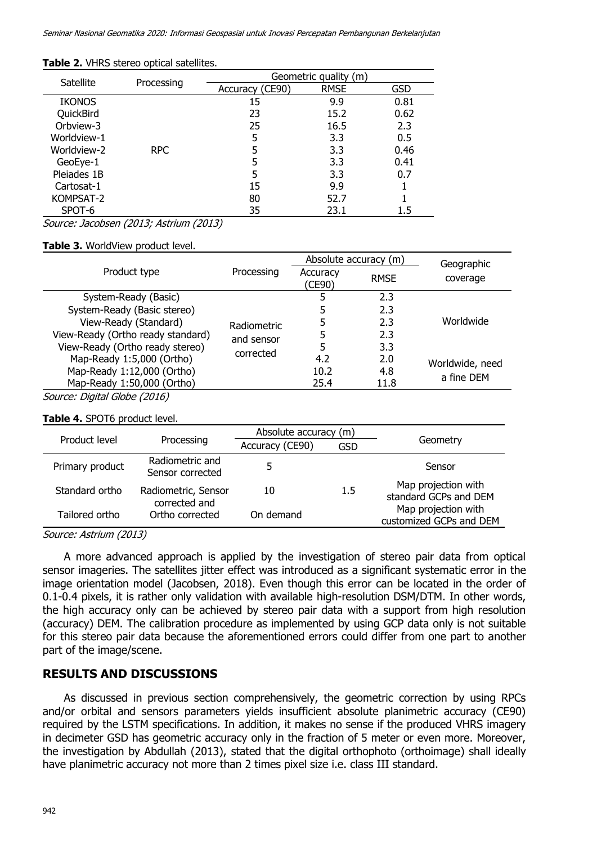|               |            | Geometric quality (m) |             |            |  |
|---------------|------------|-----------------------|-------------|------------|--|
| Satellite     | Processing | Accuracy (CE90)       | <b>RMSE</b> | <b>GSD</b> |  |
| <b>IKONOS</b> |            | 15                    | 9.9         | 0.81       |  |
| QuickBird     |            | 23                    | 15.2        | 0.62       |  |
| Orbview-3     |            | 25                    | 16.5        | 2.3        |  |
| Worldview-1   |            | 5                     | 3.3         | 0.5        |  |
| Worldview-2   | RPC        | 5                     | 3.3         | 0.46       |  |
| GeoEye-1      |            | 5                     | 3.3         | 0.41       |  |
| Pleiades 1B   |            | 5                     | 3.3         | 0.7        |  |
| Cartosat-1    |            | 15                    | 9.9         |            |  |
| KOMPSAT-2     |            | 80                    | 52.7        |            |  |
| SPOT-6        |            | 35                    | 23.1        | 1.5        |  |

#### **Table 2.** VHRS stereo optical satellites.

Source: Jacobsen (2013; Astrium (2013)

### **Table 3.** WorldView product level.

|                                   | Processing                       | Absolute accuracy (m) |             | Geographic      |
|-----------------------------------|----------------------------------|-----------------------|-------------|-----------------|
| Product type                      |                                  | Accuracy<br>(CE90)    | <b>RMSE</b> | coverage        |
| System-Ready (Basic)              | <b>Radiometric</b><br>and sensor |                       | 2.3         | Worldwide       |
| System-Ready (Basic stereo)       |                                  |                       | 2.3         |                 |
| View-Ready (Standard)             |                                  |                       | 2.3         |                 |
| View-Ready (Ortho ready standard) |                                  |                       | 2.3         |                 |
| View-Ready (Ortho ready stereo)   | corrected                        | 5                     | 3.3         |                 |
| Map-Ready 1:5,000 (Ortho)         |                                  | 4.2                   | 2.0         | Worldwide, need |
| Map-Ready 1:12,000 (Ortho)        |                                  | 10.2                  | 4.8         | a fine DEM      |
| Map-Ready 1:50,000 (Ortho)        |                                  | 25.4                  | 11.8        |                 |
| Source: Digital Globe (2016)      |                                  |                       |             |                 |

### **Table 4.** SPOT6 product level.

|                 |                                      | Absolute accuracy (m) |         |                                                |
|-----------------|--------------------------------------|-----------------------|---------|------------------------------------------------|
| Product level   | Processing                           | Accuracy (CE90)       | GSD     | Geometry                                       |
| Primary product | Radiometric and<br>Sensor corrected  |                       |         | Sensor                                         |
| Standard ortho  | Radiometric, Sensor<br>corrected and | 10                    | $1.5\,$ | Map projection with<br>standard GCPs and DEM   |
| Tailored ortho  | Ortho corrected                      | On demand             |         | Map projection with<br>customized GCPs and DEM |

Source: Astrium (2013)

A more advanced approach is applied by the investigation of stereo pair data from optical sensor imageries. The satellites jitter effect was introduced as a significant systematic error in the image orientation model (Jacobsen, 2018). Even though this error can be located in the order of 0.1-0.4 pixels, it is rather only validation with available high-resolution DSM/DTM. In other words, the high accuracy only can be achieved by stereo pair data with a support from high resolution (accuracy) DEM. The calibration procedure as implemented by using GCP data only is not suitable for this stereo pair data because the aforementioned errors could differ from one part to another part of the image/scene.

# **RESULTS AND DISCUSSIONS**

As discussed in previous section comprehensively, the geometric correction by using RPCs and/or orbital and sensors parameters yields insufficient absolute planimetric accuracy (CE90) required by the LSTM specifications. In addition, it makes no sense if the produced VHRS imagery in decimeter GSD has geometric accuracy only in the fraction of 5 meter or even more. Moreover, the investigation by Abdullah (2013), stated that the digital orthophoto (orthoimage) shall ideally have planimetric accuracy not more than 2 times pixel size i.e. class III standard.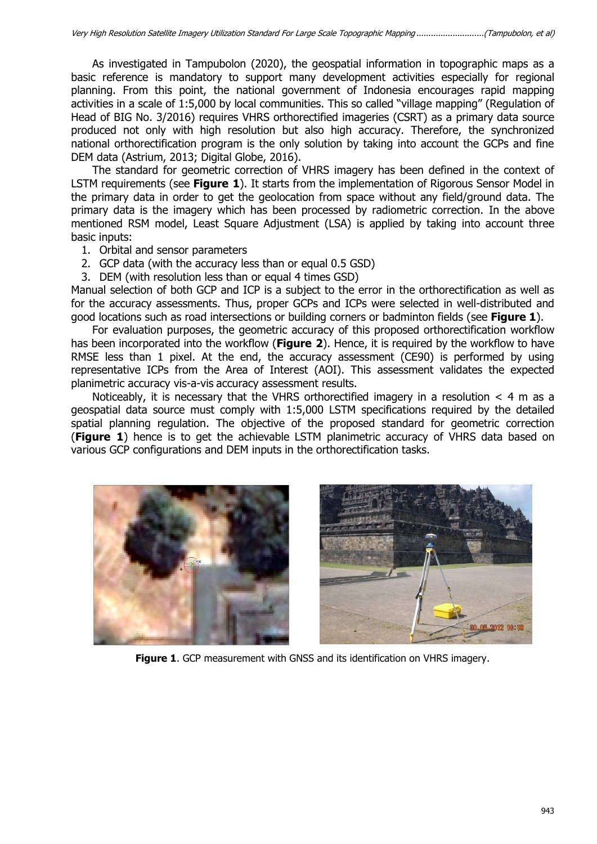As investigated in Tampubolon (2020), the geospatial information in topographic maps as a basic reference is mandatory to support many development activities especially for regional planning. From this point, the national government of Indonesia encourages rapid mapping activities in a scale of 1:5,000 by local communities. This so called "village mapping" (Regulation of Head of BIG No. 3/2016) requires VHRS orthorectified imageries (CSRT) as a primary data source produced not only with high resolution but also high accuracy. Therefore, the synchronized national orthorectification program is the only solution by taking into account the GCPs and fine DEM data (Astrium, 2013; Digital Globe, 2016).

The standard for geometric correction of VHRS imagery has been defined in the context of LSTM requirements (see **Figure 1**). It starts from the implementation of Rigorous Sensor Model in the primary data in order to get the geolocation from space without any field/ground data. The primary data is the imagery which has been processed by radiometric correction. In the above mentioned RSM model, Least Square Adjustment (LSA) is applied by taking into account three basic inputs:

- 1. Orbital and sensor parameters
- 2. GCP data (with the accuracy less than or equal 0.5 GSD)
- 3. DEM (with resolution less than or equal 4 times GSD)

Manual selection of both GCP and ICP is a subject to the error in the orthorectification as well as for the accuracy assessments. Thus, proper GCPs and ICPs were selected in well-distributed and good locations such as road intersections or building corners or badminton fields (see **Figure 1**).

For evaluation purposes, the geometric accuracy of this proposed orthorectification workflow has been incorporated into the workflow (**Figure 2**). Hence, it is required by the workflow to have RMSE less than 1 pixel. At the end, the accuracy assessment (CE90) is performed by using representative ICPs from the Area of Interest (AOI). This assessment validates the expected planimetric accuracy vis-a-vis accuracy assessment results.

Noticeably, it is necessary that the VHRS orthorectified imagery in a resolution  $<$  4 m as a geospatial data source must comply with 1:5,000 LSTM specifications required by the detailed spatial planning regulation. The objective of the proposed standard for geometric correction (**Figure 1**) hence is to get the achievable LSTM planimetric accuracy of VHRS data based on various GCP configurations and DEM inputs in the orthorectification tasks.





**Figure 1**. GCP measurement with GNSS and its identification on VHRS imagery.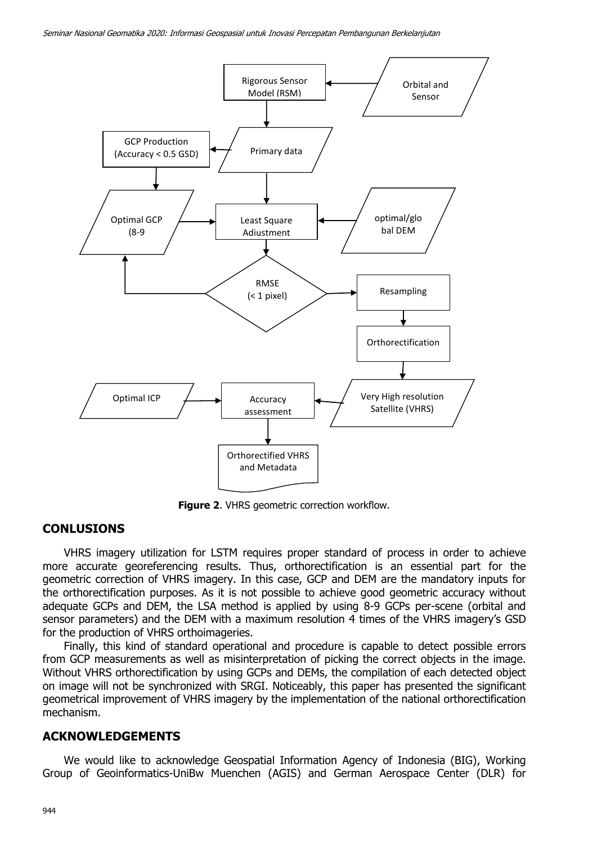

**Figure 2**. VHRS geometric correction workflow.

# **CONLUSIONS**

VHRS imagery utilization for LSTM requires proper standard of process in order to achieve more accurate georeferencing results. Thus, orthorectification is an essential part for the geometric correction of VHRS imagery. In this case, GCP and DEM are the mandatory inputs for the orthorectification purposes. As it is not possible to achieve good geometric accuracy without adequate GCPs and DEM, the LSA method is applied by using 8-9 GCPs per-scene (orbital and sensor parameters) and the DEM with a maximum resolution 4 times of the VHRS imagery's GSD for the production of VHRS orthoimageries.

Finally, this kind of standard operational and procedure is capable to detect possible errors from GCP measurements as well as misinterpretation of picking the correct objects in the image. Without VHRS orthorectification by using GCPs and DEMs, the compilation of each detected object on image will not be synchronized with SRGI. Noticeably, this paper has presented the significant geometrical improvement of VHRS imagery by the implementation of the national orthorectification mechanism.

# **ACKNOWLEDGEMENTS**

We would like to acknowledge Geospatial Information Agency of Indonesia (BIG), Working Group of Geoinformatics-UniBw Muenchen (AGIS) and German Aerospace Center (DLR) for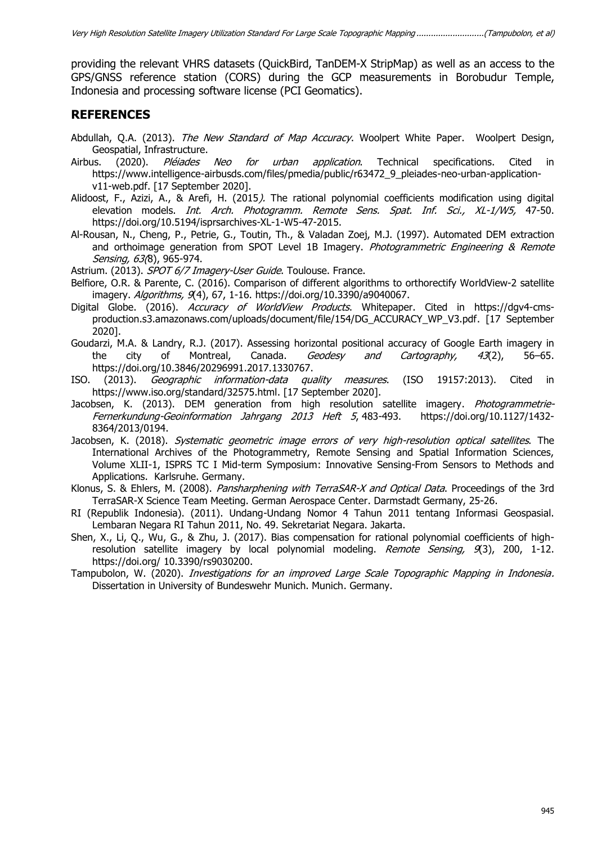providing the relevant VHRS datasets (QuickBird, TanDEM-X StripMap) as well as an access to the GPS/GNSS reference station (CORS) during the GCP measurements in Borobudur Temple, Indonesia and processing software license (PCI Geomatics).

# **REFERENCES**

- Abdullah, O.A. (2013). The New Standard of Map Accuracy. Woolpert White Paper. Woolpert Design, Geospatial, Infrastructure.
- Airbus. (2020). *Pléiades Neo for urban application*. Technical specifications. Cited in [https://www.intelligence-airbusds.com/files/pmedia/public/r63472\\_9\\_pleiades-neo-urban-application](https://www.intelligence-airbusds.com/files/pmedia/public/r63472_9_pleiades-neo-urban-application-v11-web.pdf)[v11-web.pdf.](https://www.intelligence-airbusds.com/files/pmedia/public/r63472_9_pleiades-neo-urban-application-v11-web.pdf) [17 September 2020].
- Alidoost, F., Azizi, A., & Arefi, H. (2015). The rational polynomial coefficients modification using digital elevation models. *Int. Arch. Photogramm. Remote Sens. Spat. Inf. Sci., XL-1/W5*, 47-50. https://doi.org/10.5194/isprsarchives-XL-1-W5-47-2015.
- Al-Rousan, N., Cheng, P., Petrie, G., Toutin, Th., & Valadan Zoej, M.J. (1997). Automated DEM extraction and orthoimage generation from SPOT Level 1B Imagery. Photogrammetric Engineering & Remote Sensing, 63(8), 965-974.
- Astrium. (2013). SPOT 6/7 Imagery-User Guide. Toulouse. France.
- Belfiore, O.R. & Parente, C. (2016). Comparison of different algorithms to orthorectify WorldView-2 satellite imagery. Algorithms, 9(4), 67, 1-16. [https://doi.org/10.3390/a9040067.](https://doi.org/10.3390/a9040067)
- Digital Globe. (2016). Accuracy of WorldView Products. Whitepaper. Cited in [https://dgv4-cms](https://dgv4-cms-production.s3.amazonaws.com/uploads/document/file/154/DG_ACCURACY_WP_V3.pdf)[production.s3.amazonaws.com/uploads/document/file/154/DG\\_ACCURACY\\_WP\\_V3.pdf.](https://dgv4-cms-production.s3.amazonaws.com/uploads/document/file/154/DG_ACCURACY_WP_V3.pdf) [17 September 2020].
- Goudarzi, M.A. & Landry, R.J. (2017). Assessing horizontal positional accuracy of Google Earth imagery in the city of Montreal, Canada. *Geodesy and Cartography, 43*(2), 56–65. https://doi.org/10.3846/20296991.2017.1330767.
- ISO. (2013). Geographic information-data quality measures. (ISO 19157:2013). Cited in [https://www.iso.org/standard/32575.html.](https://www.iso.org/standard/32575.html) [17 September 2020].
- Jacobsen, K. (2013). DEM generation from high resolution satellite imagery. *[Photogrammetrie-](https://www.schweizerbart.de/papers/pfg/list/2013#issue5)*[Fernerkundung-Geoinformation Jahrgang 2013 Heft 5](https://www.schweizerbart.de/papers/pfg/list/2013#issue5), 483-493. https://doi.org/10.1127/1432- 8364/2013/0194.
- Jacobsen, K. (2018). Systematic geometric image errors of very high-resolution optical satellites. The International Archives of the Photogrammetry, Remote Sensing and Spatial Information Sciences, Volume XLII-1, ISPRS TC I Mid-term Symposium: Innovative Sensing-From Sensors to Methods and Applications. Karlsruhe. Germany.
- Klonus, S. & Ehlers, M. (2008). Pansharphening with TerraSAR-X and Optical Data. Proceedings of the 3rd TerraSAR-X Science Team Meeting. German Aerospace Center. Darmstadt Germany, 25-26.
- RI (Republik Indonesia). (2011). Undang-Undang Nomor 4 Tahun 2011 tentang Informasi Geospasial. Lembaran Negara RI Tahun 2011, No. 49. Sekretariat Negara. Jakarta.
- Shen, X., Li, Q., Wu, G., & Zhu, J. (2017). Bias compensation for rational polynomial coefficients of highresolution satellite imagery by local polynomial modeling. Remote Sensing, 9(3), 200, 1-12. https://doi.org/ 10.3390/rs9030200.
- Tampubolon, W. (2020). Investigations for an improved Large Scale Topographic Mapping in Indonesia. Dissertation in University of Bundeswehr Munich. Munich. Germany.